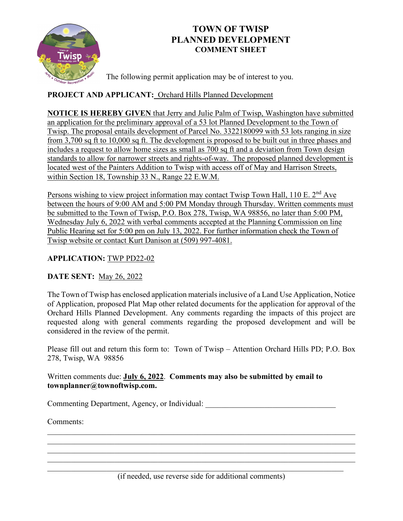

# **TOWN OF TWISP PLANNED DEVELOPMENT COMMENT SHEET**

The following permit application may be of interest to you.

## **PROJECT AND APPLICANT:** Orchard Hills Planned Development

**NOTICE IS HEREBY GIVEN** that Jerry and Julie Palm of Twisp, Washington have submitted an application for the preliminary approval of a 53 lot Planned Development to the Town of Twisp. The proposal entails development of Parcel No. 3322180099 with 53 lots ranging in size from 3,700 sq ft to 10,000 sq ft. The development is proposed to be built out in three phases and includes a request to allow home sizes as small as 700 sq ft and a deviation from Town design standards to allow for narrower streets and rights-of-way. The proposed planned development is located west of the Painters Addition to Twisp with access off of May and Harrison Streets, within Section 18, Township 33 N., Range 22 E.W.M.

Persons wishing to view project information may contact Twisp Town Hall, 110 E. 2<sup>nd</sup> Ave between the hours of 9:00 AM and 5:00 PM Monday through Thursday. Written comments must be submitted to the Town of Twisp, P.O. Box 278, Twisp, WA 98856, no later than 5:00 PM, Wednesday July 6, 2022 with verbal comments accepted at the Planning Commission on line Public Hearing set for 5:00 pm on July 13, 2022. For further information check the Town of Twisp website or contact Kurt Danison at (509) 997-4081.

### **APPLICATION:** TWP PD22-02

### **DATE SENT:** May 26, 2022

The Town of Twisp has enclosed application materials inclusive of a Land Use Application, Notice of Application, proposed Plat Map other related documents for the application for approval of the Orchard Hills Planned Development. Any comments regarding the impacts of this project are requested along with general comments regarding the proposed development and will be considered in the review of the permit.

Please fill out and return this form to: Town of Twisp – Attention Orchard Hills PD; P.O. Box 278, Twisp, WA 98856

### Written comments due: **July 6, 2022**. **Comments may also be submitted by email to townplanner@townoftwisp.com.**

Commenting Department, Agency, or Individual: \_\_\_\_\_\_\_\_\_\_\_\_\_\_\_\_\_\_\_\_\_\_\_\_\_\_\_\_\_\_\_\_\_\_\_

Comments:

\_\_\_\_\_\_\_\_\_\_\_\_\_\_\_\_\_\_\_\_\_\_\_\_\_\_\_\_\_\_\_\_\_\_\_\_\_\_\_\_\_\_\_\_\_\_\_\_\_\_\_\_\_\_\_\_\_\_\_\_\_\_\_\_\_\_\_\_\_\_\_\_\_\_\_

\_\_\_\_\_\_\_\_\_\_\_\_\_\_\_\_\_\_\_\_\_\_\_\_\_\_\_\_\_\_\_\_\_\_\_\_\_\_\_\_\_\_\_\_\_\_\_\_\_\_\_\_\_\_\_\_\_\_\_\_\_\_\_\_\_\_\_\_\_\_\_\_\_\_\_\_\_\_ \_\_\_\_\_\_\_\_\_\_\_\_\_\_\_\_\_\_\_\_\_\_\_\_\_\_\_\_\_\_\_\_\_\_\_\_\_\_\_\_\_\_\_\_\_\_\_\_\_\_\_\_\_\_\_\_\_\_\_\_\_\_\_\_\_\_\_\_\_\_\_\_\_\_\_\_\_\_